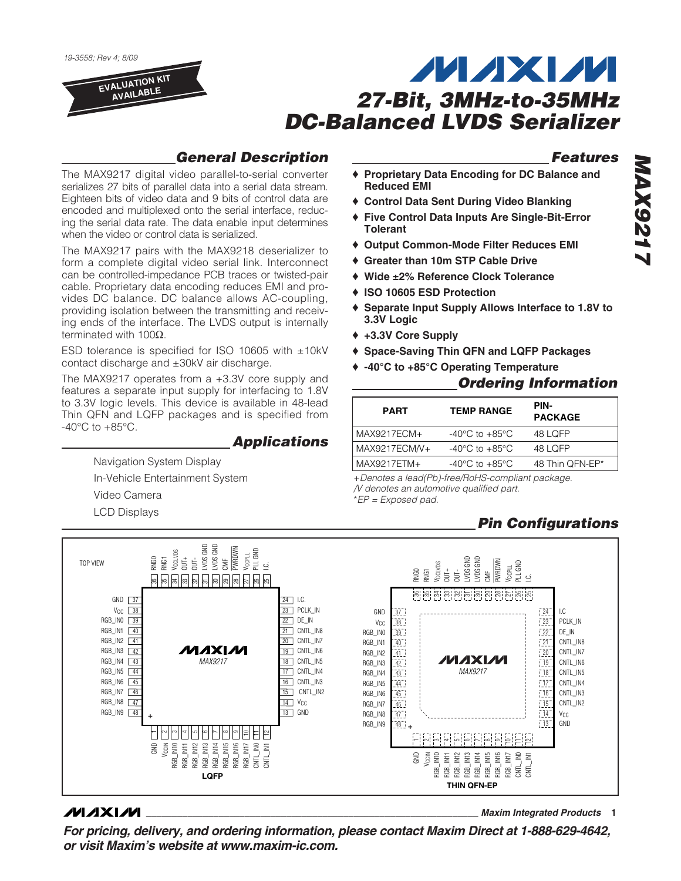19-3558; Rev 4; 8/09

**EVALUATION KIT AVAILABLE**

# **MAXM 27-Bit, 3MHz-to-35MHz DC-Balanced LVDS Serializer**

### **General Description**

**Applications**

The MAX9217 digital video parallel-to-serial converter serializes 27 bits of parallel data into a serial data stream. Eighteen bits of video data and 9 bits of control data are encoded and multiplexed onto the serial interface, reducing the serial data rate. The data enable input determines

The MAX9217 pairs with the MAX9218 deserializer to form a complete digital video serial link. Interconnect can be controlled-impedance PCB traces or twisted-pair cable. Proprietary data encoding reduces EMI and provides DC balance. DC balance allows AC-coupling, providing isolation between the transmitting and receiving ends of the interface. The LVDS output is internally

ESD tolerance is specified for ISO 10605 with ±10kV

The MAX9217 operates from a +3.3V core supply and features a separate input supply for interfacing to 1.8V to 3.3V logic levels. This device is available in 48-lead Thin QFN and LQFP packages and is specified from

contact discharge and ±30kV air discharge.

Navigation System Display In-Vehicle Entertainment System

Video Camera LCD Displays

when the video or control data is serialized.

terminated with 100Ω.

 $-40^{\circ}$ C to  $+85^{\circ}$ C.

**Features**

- **Proprietary Data Encoding for DC Balance and Reduced EMI**
- ♦ **Control Data Sent During Video Blanking**
- ♦ **Five Control Data Inputs Are Single-Bit-Error Tolerant**
- ♦ **Output Common-Mode Filter Reduces EMI**
- ♦ **Greater than 10m STP Cable Drive**
- ♦ **Wide ±2% Reference Clock Tolerance**
- ♦ **ISO 10605 ESD Protection**
- ♦ **Separate Input Supply Allows Interface to 1.8V to 3.3V Logic**
- ♦ **+3.3V Core Supply**
- ♦ **Space-Saving Thin QFN and LQFP Packages**
- ♦ **-40°C to +85°C Operating Temperature**

### **Ordering Information**

| <b>PART</b>   | <b>TEMP RANGE</b>                    | PIN-<br><b>PACKAGE</b> |
|---------------|--------------------------------------|------------------------|
| MAX9217ECM+   | -40 $^{\circ}$ C to +85 $^{\circ}$ C | 48 LOFP                |
| MAX9217ECM/V+ | -40 $^{\circ}$ C to +85 $^{\circ}$ C | 48 LOFP                |
| MAX9217ETM+   | $-40^{\circ}$ C to $+85^{\circ}$ C   | 48 Thin QFN-EP*        |

+Denotes a lead(Pb)-free/RoHS-compliant package. /V denotes an automotive qualified part. \*EP = Exposed pad.

## **Pin Configurations**



### **MAXM**

**For pricing, delivery, and ordering information, please contact Maxim Direct at 1-888-629-4642, or visit Maxim's website at www.maxim-ic.com.**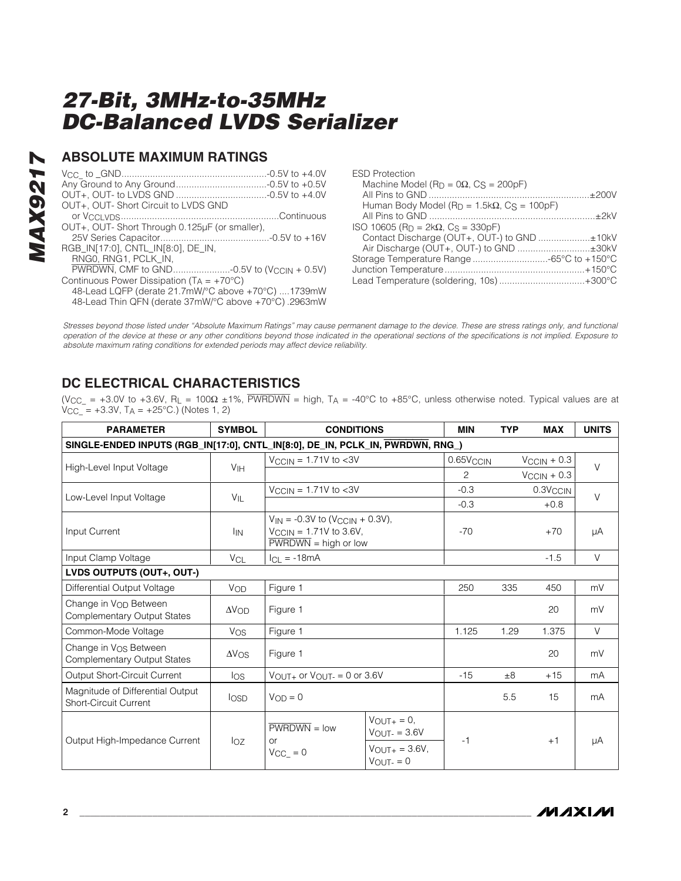### **ABSOLUTE MAXIMUM RATINGS**

| OUT+, OUT-Short Circuit to LVDS GND                                                                        |  |
|------------------------------------------------------------------------------------------------------------|--|
| OUT+, OUT- Short Through 0.125µF (or smaller),                                                             |  |
|                                                                                                            |  |
| RGB IN[17:0], CNTL IN[8:0], DE IN,<br>RNGO, RNG1, PCLK IN.                                                 |  |
| Continuous Power Dissipation $(T_A = +70^{\circ}C)$                                                        |  |
| 48-Lead LQFP (derate 21.7mW/°C above +70°C) 1739mW<br>48-Lead Thin QFN (derate 37mW/°C above +70°C).2963mW |  |

| <b>ESD Protection</b>                                    |  |
|----------------------------------------------------------|--|
| Machine Model ( $Rp = 0\Omega$ , $CS = 200pF$ )          |  |
|                                                          |  |
| Human Body Model ( $R_D = 1.5k\Omega$ , $CS = 100pF$ )   |  |
|                                                          |  |
| ISO 10605 (R <sub>D</sub> = 2kΩ, C <sub>S</sub> = 330pF) |  |
| Contact Discharge (OUT+, OUT-) to GND ±10kV              |  |
| Air Discharge (OUT+, OUT-) to GND ±30kV                  |  |
| Storage Temperature Range -65°C to +150°C                |  |
|                                                          |  |
| Lead Temperature (soldering, 10s)+300°C                  |  |
|                                                          |  |

Stresses beyond those listed under "Absolute Maximum Ratings" may cause permanent damage to the device. These are stress ratings only, and functional operation of the device at these or any other conditions beyond those indicated in the operational sections of the specifications is not implied. Exposure to absolute maximum rating conditions for extended periods may affect device reliability.

### **DC ELECTRICAL CHARACTERISTICS**

(V<sub>CC</sub> = +3.0V to +3.6V, R<sub>L</sub> = 100 $\Omega$  ±1%, PWRDWN = high, T<sub>A</sub> = -40°C to +85°C, unless otherwise noted. Typical values are at  $V_{\text{CC}} = +3.3V$ ,  $T_A = +25^{\circ}C$ .) (Notes 1, 2)

| <b>PARAMETER</b>                                                               | <b>SYMBOL</b>         | <b>CONDITIONS</b>                                                                                               |                                                                                           | <b>MIN</b>            | <b>TYP</b> | <b>MAX</b>              | <b>UNITS</b> |
|--------------------------------------------------------------------------------|-----------------------|-----------------------------------------------------------------------------------------------------------------|-------------------------------------------------------------------------------------------|-----------------------|------------|-------------------------|--------------|
| SINGLE-ENDED INPUTS (RGB_IN[17:0], CNTL_IN[8:0], DE_IN, PCLK_IN, PWRDWN, RNG_) |                       |                                                                                                                 |                                                                                           |                       |            |                         |              |
| High-Level Input Voltage                                                       | V <sub>IH</sub>       | $V_{\rm CCIN}$ = 1.71V to <3V                                                                                   |                                                                                           | 0.65V <sub>CCIN</sub> |            | $V_{\text{CCIN}} + 0.3$ | $\vee$       |
|                                                                                |                       |                                                                                                                 |                                                                                           | 2                     |            | $V_{\text{CCIN}} + 0.3$ |              |
| Low-Level Input Voltage                                                        |                       | $V_{\text{CCIN}} = 1.71V$ to <3V                                                                                |                                                                                           | $-0.3$                |            | 0.3V <sub>CCIN</sub>    | $\vee$       |
|                                                                                | VIL                   |                                                                                                                 |                                                                                           | $-0.3$                |            | $+0.8$                  |              |
| Input Current                                                                  | <b>I</b> IN           | $V_{IN} = -0.3V$ to (V <sub>CCIN</sub> + 0.3V),<br>$V_{\text{CCIN}} = 1.71V$ to 3.6V,<br>$PWRDWN = high or low$ |                                                                                           | $-70$                 |            | $+70$                   | μA           |
| Input Clamp Voltage                                                            | <b>V<sub>CL</sub></b> | $ CL = -18mA$                                                                                                   |                                                                                           |                       |            | $-1.5$                  | $\vee$       |
| LVDS OUTPUTS (OUT+, OUT-)                                                      |                       |                                                                                                                 |                                                                                           |                       |            |                         |              |
| Differential Output Voltage                                                    | VOD                   | Figure 1                                                                                                        |                                                                                           | 250                   | 335        | 450                     | mV           |
| Change in V <sub>OD</sub> Between<br><b>Complementary Output States</b>        | $\Delta V_{OD}$       | Figure 1                                                                                                        |                                                                                           |                       |            | 20                      | mV           |
| Common-Mode Voltage                                                            | <b>Vos</b>            | Figure 1                                                                                                        |                                                                                           | 1.125                 | 1.29       | 1.375                   | $\vee$       |
| Change in V <sub>OS</sub> Between<br><b>Complementary Output States</b>        | $\Delta V$ OS         | Figure 1                                                                                                        |                                                                                           |                       |            | 20                      | mV           |
| Output Short-Circuit Current                                                   | los                   | $V_{\text{OUT+}}$ or $V_{\text{OUT-}} = 0$ or 3.6V                                                              |                                                                                           | $-15$                 | $\pm 8$    | $+15$                   | mA           |
| Magnitude of Differential Output<br><b>Short-Circuit Current</b>               | losp                  | $V_{OD} = 0$                                                                                                    |                                                                                           |                       | 5.5        | 15                      | mA           |
| Output High-Impedance Current                                                  | $I_{OZ}$              | $\overline{\text{PWRDWN}} = \text{low}$<br><b>or</b><br>$V_{CC_} = 0$                                           | $V_{\text{OUT+}} = 0$ ,<br>$V_{OUT} = 3.6V$<br>$V_{\text{OUT+}} = 3.6V,$<br>$V_{OUT} = 0$ | -1                    |            | $+1$                    | μA           |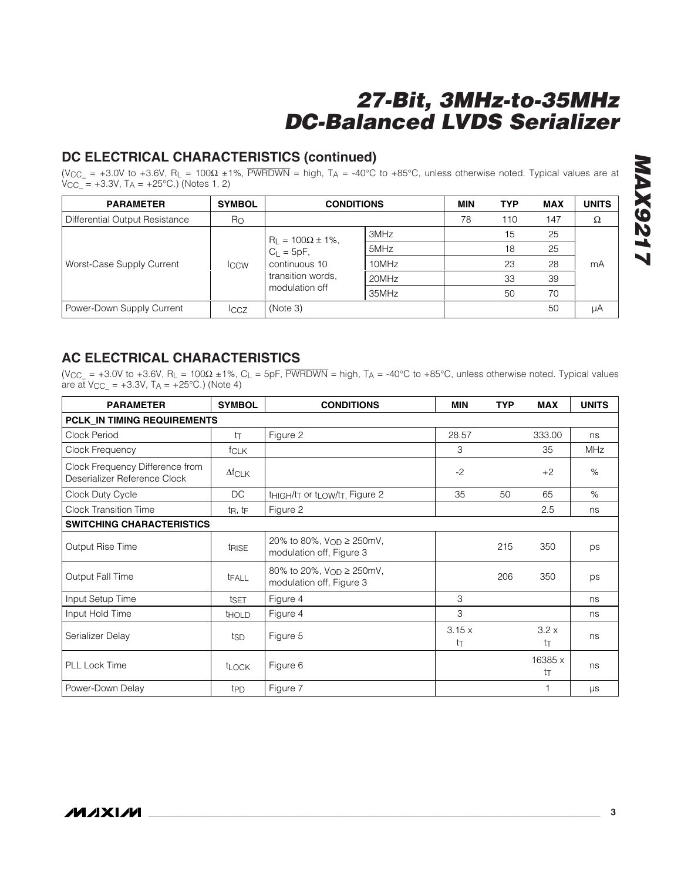### **DC ELECTRICAL CHARACTERISTICS (continued)**

(V<sub>CC\_</sub> = +3.0V to +3.6V, R<sub>L</sub> = 100Ω ±1%, PWRDWN = high, T<sub>A</sub> = -40°C to +85°C, unless otherwise noted. Typical values are at VCC\_ = +3.3V, TA = +25°C.) (Notes 1, 2)

| <b>PARAMETER</b>               | <b>SYMBOL</b>    | <b>CONDITIONS</b>              | <b>MIN</b> | <b>TYP</b> | <b>MAX</b> | <b>UNITS</b> |    |
|--------------------------------|------------------|--------------------------------|------------|------------|------------|--------------|----|
| Differential Output Resistance | Ro               |                                |            | 78         | 110        | 147          | Ω  |
|                                | <b>ICCW</b>      | $R_L = 100\Omega \pm 1\%,$     | 3MHz       |            | 15         | 25           |    |
|                                |                  | $C_L = 5pF$ ,<br>continuous 10 | 5MHz       |            | 18         | 25           |    |
| Worst-Case Supply Current      |                  |                                | 10MHz      |            | 23         | 28           | mA |
|                                |                  | transition words.              | 20MHz      |            | 33         | 39           |    |
|                                |                  | modulation off                 | 35MHz      |            | 50         | 70           |    |
| Power-Down Supply Current      | $_{\text{ICCZ}}$ | (Note 3)                       |            |            |            | 50           | μA |

### **AC ELECTRICAL CHARACTERISTICS**

(V<sub>CC</sub> = +3.0V to +3.6V, R<sub>L</sub> = 100 $\Omega$  ±1%, C<sub>L</sub> = 5pF, PWRDWN = high, T<sub>A</sub> = -40°C to +85°C, unless otherwise noted. Typical values are at  $V_{CC_} = +3.3V$ ,  $T_A = +25^{\circ}C$ .) (Note 4)

| <b>PARAMETER</b>                                                | <b>SYMBOL</b>                   | <b>CONDITIONS</b>                                                | <b>MIN</b>  | <b>TYP</b> | <b>MAX</b>    | <b>UNITS</b> |
|-----------------------------------------------------------------|---------------------------------|------------------------------------------------------------------|-------------|------------|---------------|--------------|
| PCLK_IN TIMING REQUIREMENTS                                     |                                 |                                                                  |             |            |               |              |
| Clock Period                                                    | tт                              | Figure 2                                                         | 28.57       |            | 333.00        | ns           |
| Clock Frequency                                                 | <b>fCLK</b>                     |                                                                  | 3           |            | 35            | <b>MHz</b>   |
| Clock Frequency Difference from<br>Deserializer Reference Clock | $\Delta fCLK$                   |                                                                  | $-2$        |            | $+2$          | $\%$         |
| Clock Duty Cycle                                                | DC                              | tHIGH/tT or t <sub>LOW</sub> /t <sub>T</sub> , Figure 2          | 35          | 50         | 65            | $\%$         |
| <b>Clock Transition Time</b>                                    | t <sub>R</sub> , t <sub>F</sub> | Figure 2                                                         |             |            | 2.5           | ns           |
| <b>SWITCHING CHARACTERISTICS</b>                                |                                 |                                                                  |             |            |               |              |
| Output Rise Time                                                | <b>tRISE</b>                    | 20% to 80%, V <sub>OD</sub> ≥ 250mV,<br>modulation off, Figure 3 |             | 215        | 350           | ps           |
| Output Fall Time                                                | <b>TFALL</b>                    | 80% to 20%, V <sub>OD</sub> ≥ 250mV,<br>modulation off, Figure 3 |             | 206        | 350           | ps           |
| Input Setup Time                                                | tset                            | Figure 4                                                         | 3           |            |               | ns           |
| Input Hold Time                                                 | <b>THOLD</b>                    | Figure 4                                                         | 3           |            |               | ns           |
| Serializer Delay                                                | tsp                             | Figure 5                                                         | 3.15x<br>tт |            | 3.2x<br>tт    | ns           |
| <b>PLL Lock Time</b>                                            | <b>t</b> LOCK                   | Figure 6                                                         |             |            | 16385 x<br>tт | ns           |
| Power-Down Delay                                                | t <sub>PD</sub>                 | Figure 7                                                         |             |            |               | μs           |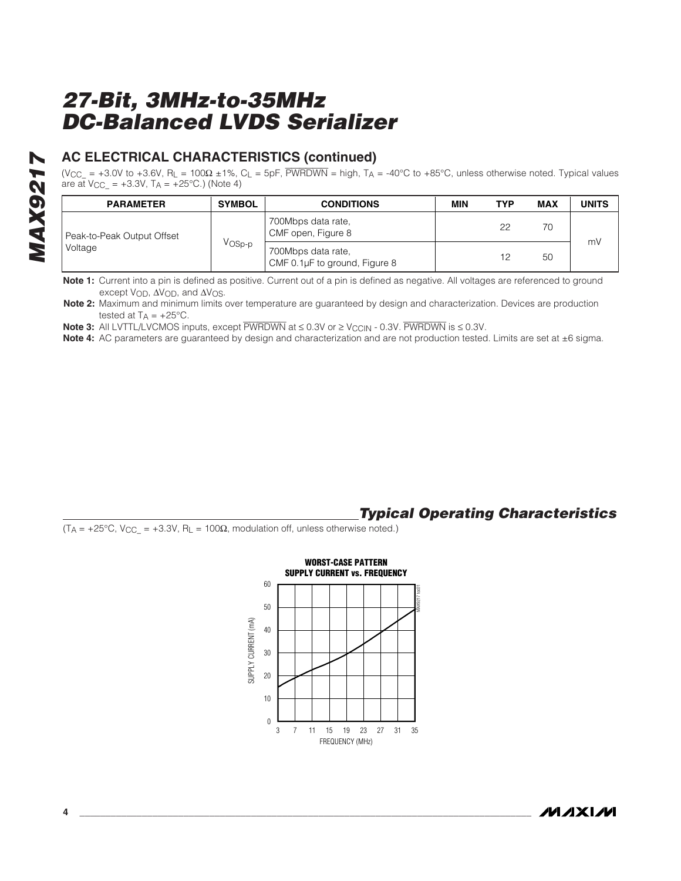### **AC ELECTRICAL CHARACTERISTICS (continued)**

(V<sub>CC\_</sub> = +3.0V to +3.6V, R<sub>L</sub> = 100Ω ±1%, C<sub>L</sub> = 5pF, PWRDWN = high, T<sub>A</sub> = -40°C to +85°C, unless otherwise noted. Typical values are at  $V_{\text{CC}} = +3.3V$ , T<sub>A</sub> =  $+25^{\circ}$ C.) (Note 4)

| <b>PARAMETER</b>           | <b>SYMBOL</b>      | <b>CONDITIONS</b>                                   | MIN | TYP | MAX | <b>UNITS</b> |
|----------------------------|--------------------|-----------------------------------------------------|-----|-----|-----|--------------|
| Peak-to-Peak Output Offset |                    | 700Mbps data rate,<br>CMF open, Figure 8            |     | 22  | 70  |              |
| Voltage                    | V <sub>OSp-p</sub> | 700Mbps data rate,<br>CMF 0.1µF to ground, Figure 8 |     | 12  | 50  | mV           |

**Note 1:** Current into a pin is defined as positive. Current out of a pin is defined as negative. All voltages are referenced to ground except VOD, ΔVOD, and ΔVOS.

**Note 2:** Maximum and minimum limits over temperature are guaranteed by design and characterization. Devices are production tested at  $T_A = +25^{\circ}C$ .

**Note 3:** All LVTTL/LVCMOS inputs, except  $\overline{PWRDWN}$  at  $\leq 0.3V$  or  $\geq V_{CCIN}$  - 0.3V.  $\overline{PWRDWN}$  is  $\leq 0.3V$ .

**Note 4:** AC parameters are guaranteed by design and characterization and are not production tested. Limits are set at ±6 sigma.

### **Typical Operating Characteristics**

 $(T_A = +25^{\circ}C, V_{CC} = +3.3V, R_L = 100\Omega$ , modulation off, unless otherwise noted.)

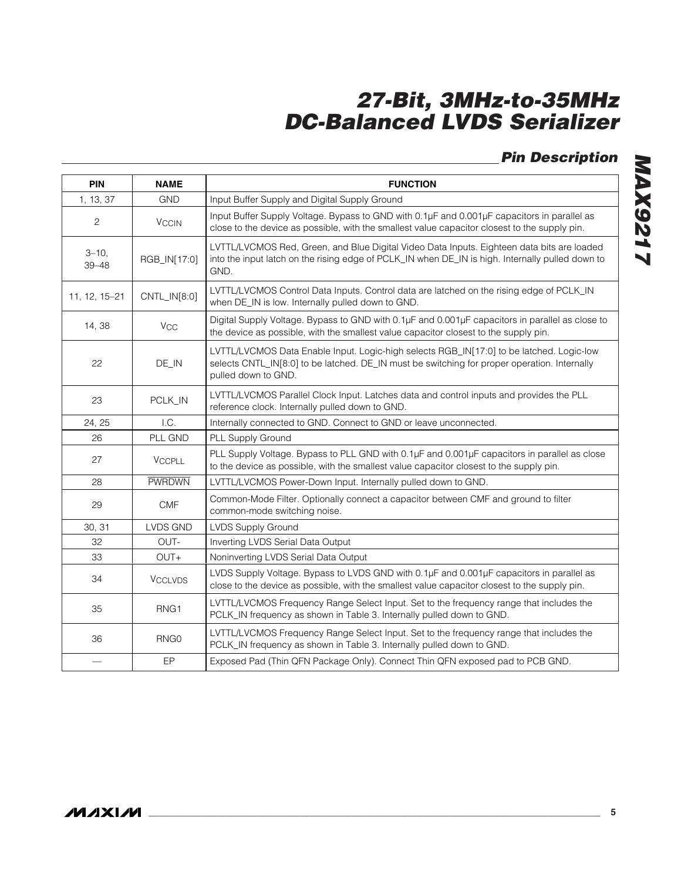## **Pin Description**

| <b>PIN</b>              | <b>NAME</b>           | <b>FUNCTION</b>                                                                                                                                                                                                 |
|-------------------------|-----------------------|-----------------------------------------------------------------------------------------------------------------------------------------------------------------------------------------------------------------|
| 1, 13, 37               | <b>GND</b>            | Input Buffer Supply and Digital Supply Ground                                                                                                                                                                   |
| $\mathbf{2}$            | <b>VCCIN</b>          | Input Buffer Supply Voltage. Bypass to GND with 0.1µF and 0.001µF capacitors in parallel as<br>close to the device as possible, with the smallest value capacitor closest to the supply pin.                    |
| $3 - 10$ ,<br>$39 - 48$ | RGB_IN[17:0]          | LVTTL/LVCMOS Red, Green, and Blue Digital Video Data Inputs. Eighteen data bits are loaded<br>into the input latch on the rising edge of PCLK_IN when DE_IN is high. Internally pulled down to<br>GND.          |
| 11, 12, 15-21           | CNTL_IN[8:0]          | LVTTL/LVCMOS Control Data Inputs. Control data are latched on the rising edge of PCLK_IN<br>when DE_IN is low. Internally pulled down to GND.                                                                   |
| 14, 38                  | <b>V<sub>CC</sub></b> | Digital Supply Voltage. Bypass to GND with 0.1µF and 0.001µF capacitors in parallel as close to<br>the device as possible, with the smallest value capacitor closest to the supply pin.                         |
| 22                      | DE_IN                 | LVTTL/LVCMOS Data Enable Input. Logic-high selects RGB_IN[17:0] to be latched. Logic-low<br>selects CNTL_IN[8:0] to be latched. DE_IN must be switching for proper operation. Internally<br>pulled down to GND. |
| 23                      | PCLK_IN               | LVTTL/LVCMOS Parallel Clock Input. Latches data and control inputs and provides the PLL<br>reference clock. Internally pulled down to GND.                                                                      |
| 24, 25                  | I.C.                  | Internally connected to GND. Connect to GND or leave unconnected.                                                                                                                                               |
| 26                      | PLL GND               | PLL Supply Ground                                                                                                                                                                                               |
| 27                      | <b>VCCPLL</b>         | PLL Supply Voltage. Bypass to PLL GND with 0.1µF and 0.001µF capacitors in parallel as close<br>to the device as possible, with the smallest value capacitor closest to the supply pin.                         |
| 28                      | <b>PWRDWN</b>         | LVTTL/LVCMOS Power-Down Input. Internally pulled down to GND.                                                                                                                                                   |
| 29                      | $\mathsf{CMF}$        | Common-Mode Filter. Optionally connect a capacitor between CMF and ground to filter<br>common-mode switching noise.                                                                                             |
| 30, 31                  | <b>LVDS GND</b>       | <b>LVDS Supply Ground</b>                                                                                                                                                                                       |
| 32                      | OUT-                  | Inverting LVDS Serial Data Output                                                                                                                                                                               |
| 33                      | OUT+                  | Noninverting LVDS Serial Data Output                                                                                                                                                                            |
| 34                      | <b>VCCLVDS</b>        | LVDS Supply Voltage. Bypass to LVDS GND with 0.1µF and 0.001µF capacitors in parallel as<br>close to the device as possible, with the smallest value capacitor closest to the supply pin.                       |
| 35                      | RNG1                  | LVTTL/LVCMOS Frequency Range Select Input. Set to the frequency range that includes the<br>PCLK_IN frequency as shown in Table 3. Internally pulled down to GND.                                                |
| 36                      | RNG <sub>0</sub>      | LVTTL/LVCMOS Frequency Range Select Input. Set to the frequency range that includes the<br>PCLK_IN frequency as shown in Table 3. Internally pulled down to GND.                                                |
|                         | EP                    | Exposed Pad (Thin QFN Package Only). Connect Thin QFN exposed pad to PCB GND.                                                                                                                                   |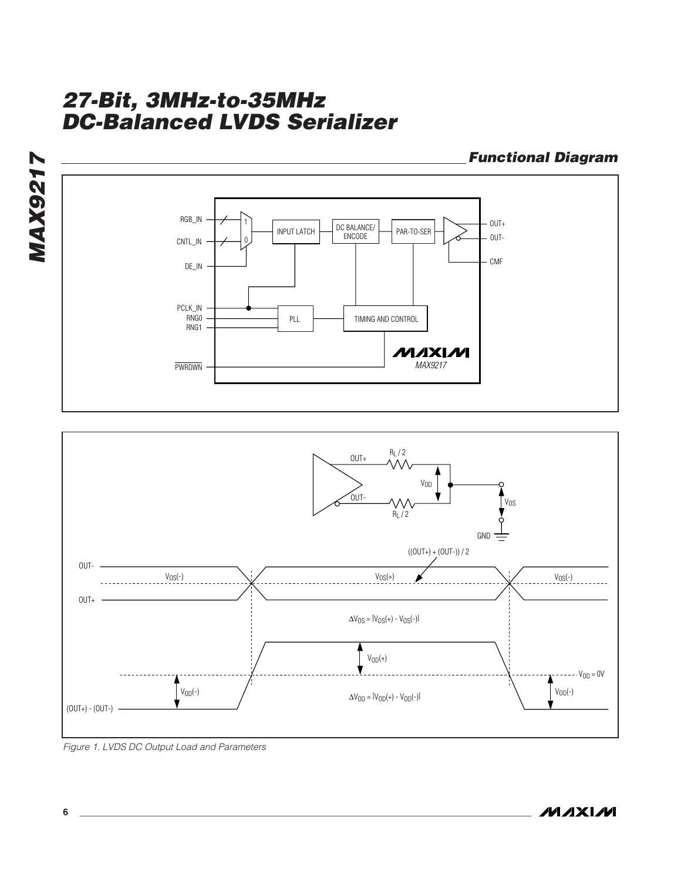

 $\Delta V_{OD} = |V_{OD}(+) - V_{OD}(-)|$   $\Delta V_{OD} = |V_{OD}(+) - V_{OD}(-)|$ 

 $V<sub>OD</sub>(+)$ 

 $---V_{OD} = 0V$ 

 $(OUT+) - (OUT-)$  -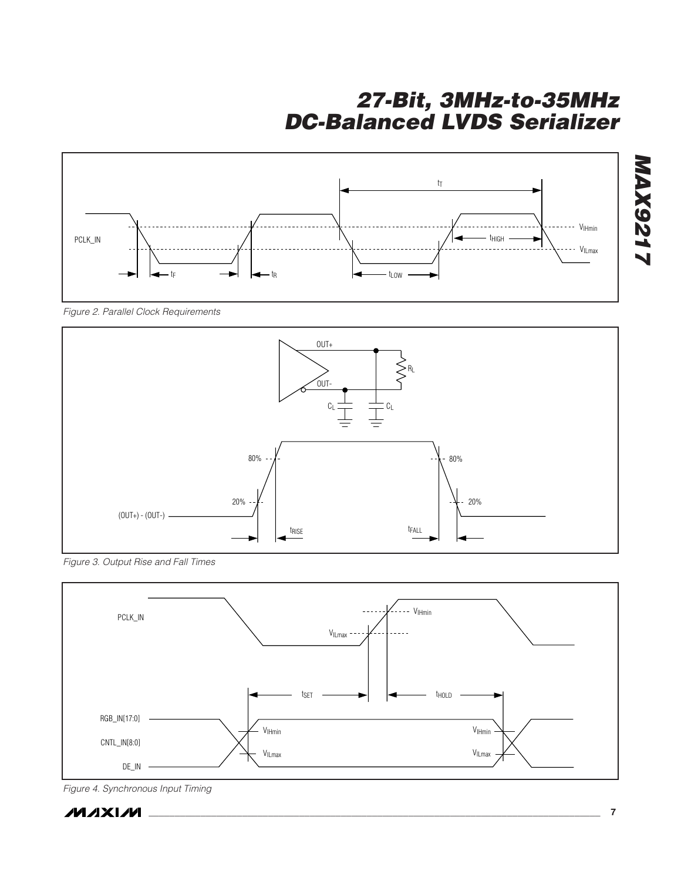

Figure 2. Parallel Clock Requirements



Figure 3. Output Rise and Fall Times



Figure 4. Synchronous Input Timing

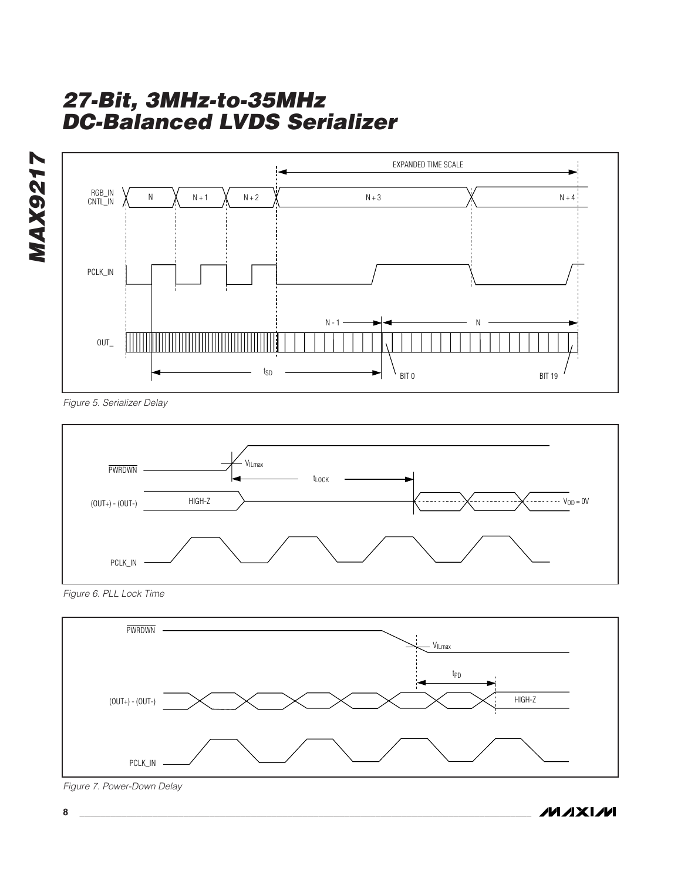

Figure 5. Serializer Delay



Figure 6. PLL Lock Time



Figure 7. Power-Down Delay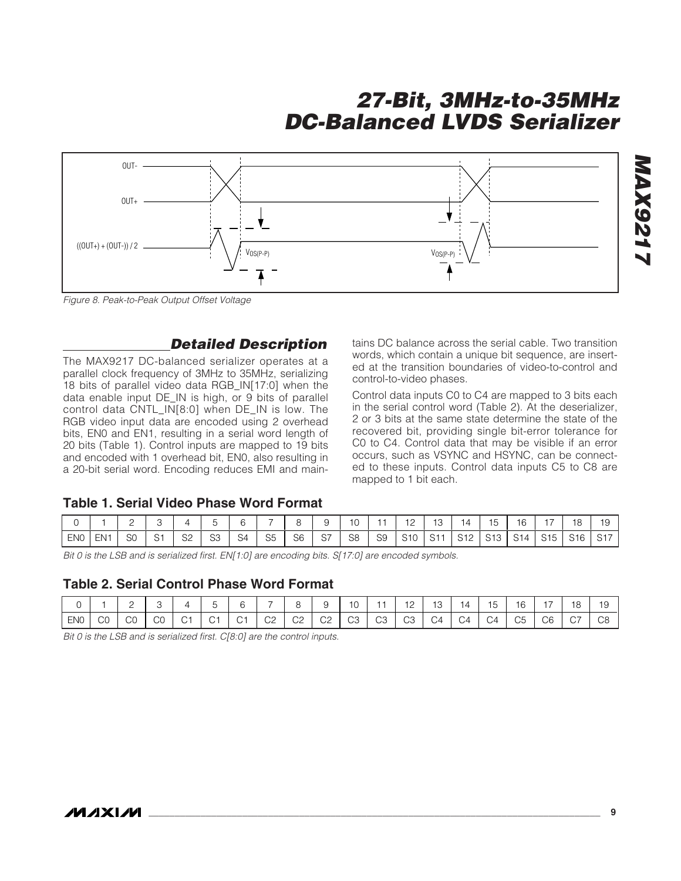

Figure 8. Peak-to-Peak Output Offset Voltage

### **Detailed Description**

The MAX9217 DC-balanced serializer operates at a parallel clock frequency of 3MHz to 35MHz, serializing 18 bits of parallel video data RGB\_IN[17:0] when the data enable input DE\_IN is high, or 9 bits of parallel control data CNTL\_IN[8:0] when DE\_IN is low. The RGB video input data are encoded using 2 overhead bits, EN0 and EN1, resulting in a serial word length of 20 bits (Table 1). Control inputs are mapped to 19 bits and encoded with 1 overhead bit, EN0, also resulting in a 20-bit serial word. Encoding reduces EMI and maintains DC balance across the serial cable. Two transition words, which contain a unique bit sequence, are inserted at the transition boundaries of video-to-control and control-to-video phases.

Control data inputs C0 to C4 are mapped to 3 bits each in the serial control word (Table 2). At the deserializer, 2 or 3 bits at the same state determine the state of the recovered bit, providing single bit-error tolerance for C0 to C4. Control data that may be visible if an error occurs, such as VSYNC and HSYNC, can be connected to these inputs. Control data inputs C5 to C8 are mapped to 1 bit each.

### **Table 1. Serial Video Phase Word Format**

|            |                 | <u>. </u> |                |                |                |                |                |     | 10             |    | 12<br><u>_</u>                  | 14 | 15                | 16 | 18                              |  |
|------------|-----------------|-----------|----------------|----------------|----------------|----------------|----------------|-----|----------------|----|---------------------------------|----|-------------------|----|---------------------------------|--|
| <b>ENO</b> | EN <sub>1</sub> | -S0       | S <sub>2</sub> | S <sub>3</sub> | S <sub>4</sub> | S <sub>5</sub> | S <sub>6</sub> | -S7 | S <sub>8</sub> | S9 | S <sub>10</sub> S <sub>11</sub> |    | S12 S13 S14 S15 L |    | S <sub>16</sub> S <sub>17</sub> |  |

Bit 0 is the LSB and is serialized first. EN[1:0] are encoding bits. S[17:0] are encoded symbols.

#### **Table 2. Serial Control Phase Word Format**

|            |        | ∸  |    | $\overline{ }$          | ∽              | $\sim$ |                          |              |              |             |    | <u>_</u>    | 13                             | 14 | $\overline{a}$<br>.5 | 16       | -  | ΄8 | $\overline{\phantom{0}}$<br>ıч |
|------------|--------|----|----|-------------------------|----------------|--------|--------------------------|--------------|--------------|-------------|----|-------------|--------------------------------|----|----------------------|----------|----|----|--------------------------------|
| <b>ENO</b> | $\sim$ | CС | СO | $\sim$ $\sim$<br>$\sim$ | C <sub>1</sub> |        | C <sub>2</sub><br>$\sim$ | $\cap$<br>◡∠ | $\cap$<br>◡∠ | $\cap$<br>◡ | ⌒≏ | $\cap$<br>◡ | $\overline{\phantom{0}}$<br>4ت | C4 | $\sim$<br>. 4        | へよ<br>UÜ | C6 |    | C8                             |

Bit 0 is the LSB and is serialized first. C[8:0] are the control inputs.

**MAX9217**

**MAX921**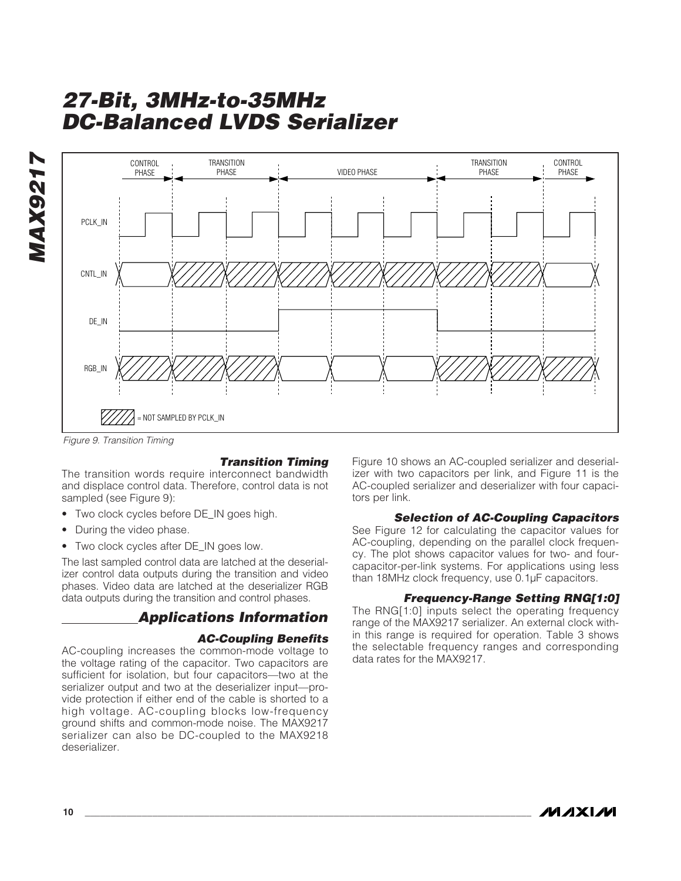



Figure 9. Transition Timing

#### **Transition Timing**

The transition words require interconnect bandwidth and displace control data. Therefore, control data is not sampled (see Figure 9):

- Two clock cycles before DE\_IN goes high.
- During the video phase.
- Two clock cycles after DE\_IN goes low.

The last sampled control data are latched at the deserializer control data outputs during the transition and video phases. Video data are latched at the deserializer RGB data outputs during the transition and control phases.

### **Applications Information**

#### **AC-Coupling Benefits**

AC-coupling increases the common-mode voltage to the voltage rating of the capacitor. Two capacitors are sufficient for isolation, but four capacitors—two at the serializer output and two at the deserializer input—provide protection if either end of the cable is shorted to a high voltage. AC-coupling blocks low-frequency ground shifts and common-mode noise. The MAX9217 serializer can also be DC-coupled to the MAX9218 deserializer.

Figure 10 shows an AC-coupled serializer and deserializer with two capacitors per link, and Figure 11 is the AC-coupled serializer and deserializer with four capacitors per link.

#### **Selection of AC-Coupling Capacitors**

See Figure 12 for calculating the capacitor values for AC-coupling, depending on the parallel clock frequency. The plot shows capacitor values for two- and fourcapacitor-per-link systems. For applications using less than 18MHz clock frequency, use 0.1µF capacitors.

#### **Frequency-Range Setting RNG[1:0]**

The RNG[1:0] inputs select the operating frequency range of the MAX9217 serializer. An external clock within this range is required for operation. Table 3 shows the selectable frequency ranges and corresponding data rates for the MAX9217.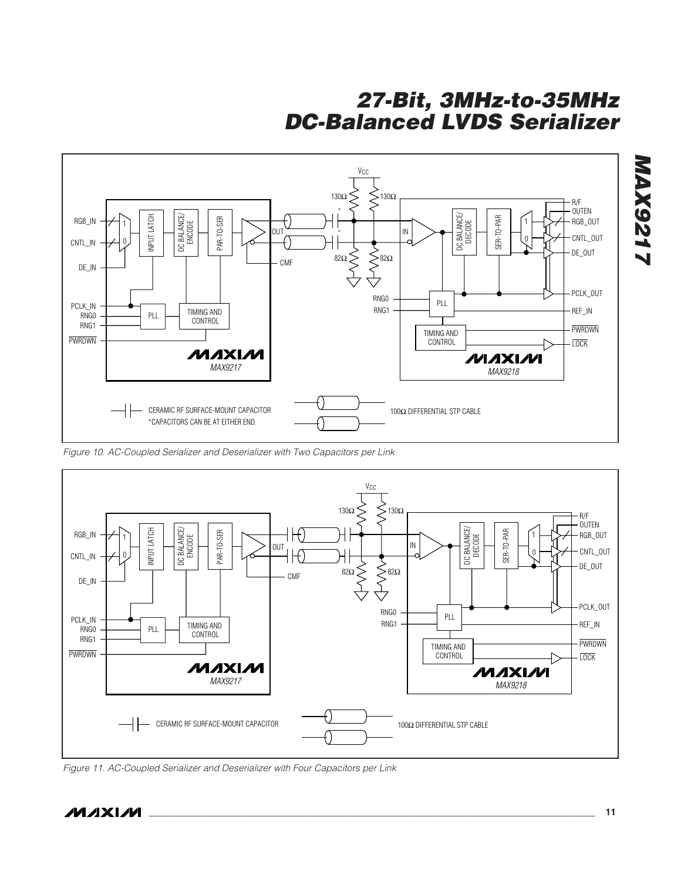

Figure 10. AC-Coupled Serializer and Deserializer with Two Capacitors per Link



Figure 11. AC-Coupled Serializer and Deserializer with Four Capacitors per Link

**MAX9217**

**MAX921**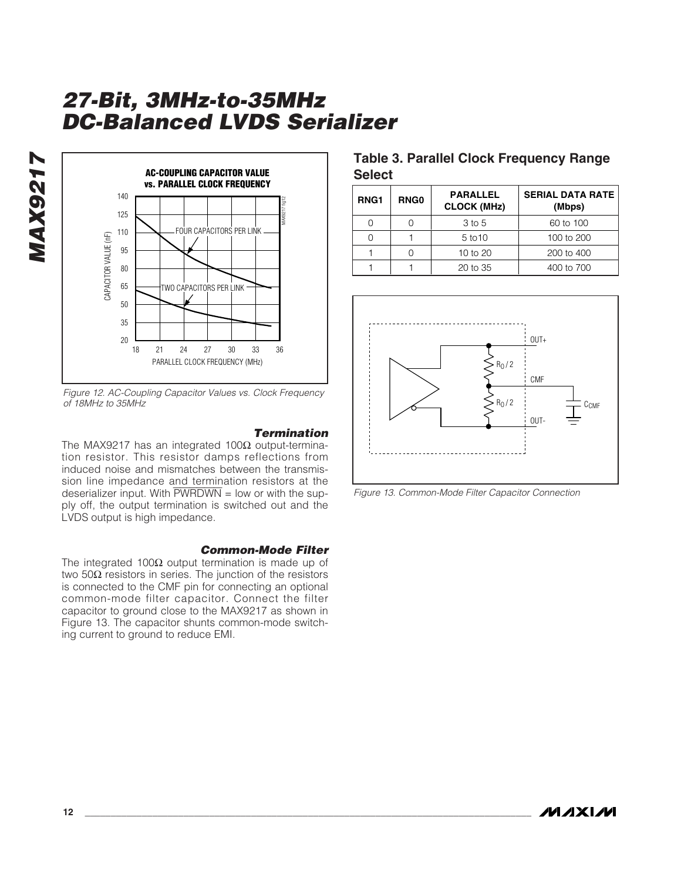

Figure 12. AC-Coupling Capacitor Values vs. Clock Frequency of 18MHz to 35MHz

#### **Termination** The MAX9217 has an integrated 100Ω output-termination resistor. This resistor damps reflections from induced noise and mismatches between the transmission line impedance and termination resistors at the deserializer input. With  $\overline{PWRDWN}$  = low or with the supply off, the output termination is switched out and the LVDS output is high impedance.

#### **Common-Mode Filter**

The integrated 100Ω output termination is made up of two 50Ω resistors in series. The junction of the resistors is connected to the CMF pin for connecting an optional common-mode filter capacitor. Connect the filter capacitor to ground close to the MAX9217 as shown in Figure 13. The capacitor shunts common-mode switching current to ground to reduce EMI.

### **Table 3. Parallel Clock Frequency Range Select**

| RNG <sub>1</sub> | <b>RNG0</b> | <b>PARALLEL</b><br><b>CLOCK (MHz)</b> | <b>SERIAL DATA RATE</b><br>(Mbps) |
|------------------|-------------|---------------------------------------|-----------------------------------|
|                  |             | 3 to 5                                | 60 to 100                         |
|                  |             | 5 to 10                               | 100 to 200                        |
|                  |             | 10 to 20                              | 200 to 400                        |
|                  |             | $20$ to $35$                          | 400 to 700                        |



Figure 13. Common-Mode Filter Capacitor Connection

**MAX9217**

**MAX9217**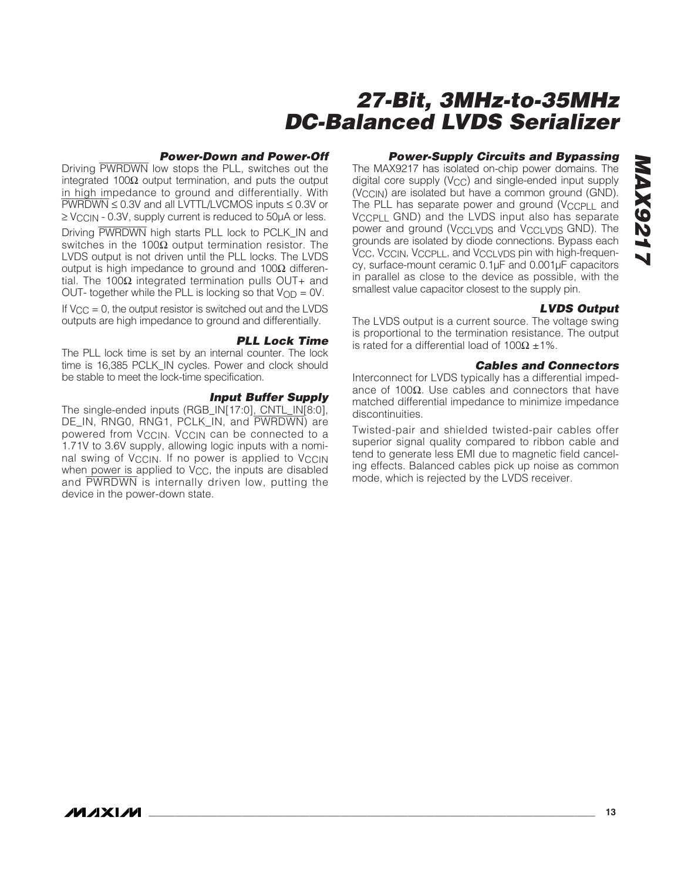#### **Power-Down and Power-Off**

Driving PWRDWN low stops the PLL, switches out the integrated 100Ω output termination, and puts the output in high impedance to ground and differentially. With PWRDWN ≤ 0.3V and all LVTTL/LVCMOS inputs ≤ 0.3V or  $\geq$  V<sub>CCIN</sub> - 0.3V, supply current is reduced to 50 $\mu$ A or less.

Driving PWRDWN high starts PLL lock to PCLK IN and switches in the 100 $Ω$  output termination resistor. The LVDS output is not driven until the PLL locks. The LVDS output is high impedance to ground and 100Ω differential. The 100Ω integrated termination pulls OUT+ and OUT- together while the PLL is locking so that  $V_{OD} = 0V$ .

If  $V_{\text{CC}} = 0$ , the output resistor is switched out and the LVDS outputs are high impedance to ground and differentially.

#### **PLL Lock Time**

The PLL lock time is set by an internal counter. The lock time is 16,385 PCLK\_IN cycles. Power and clock should be stable to meet the lock-time specification.

#### **Input Buffer Supply**

The single-ended inputs (RGB\_IN[17:0], CNTL\_IN[8:0], DE\_IN, RNG0, RNG1, PCLK\_IN, and PWRDWN) are powered from V<sub>CCIN</sub>. V<sub>CCIN</sub> can be connected to a 1.71V to 3.6V supply, allowing logic inputs with a nominal swing of V<sub>CCIN</sub>. If no power is applied to V<sub>CCIN</sub> when power is applied to  $V_{CC}$ , the inputs are disabled and PWRDWN is internally driven low, putting the device in the power-down state.

### **Power-Supply Circuits and Bypassing**

The MAX9217 has isolated on-chip power domains. The digital core supply (V<sub>CC</sub>) and single-ended input supply (V<sub>CCIN</sub>) are isolated but have a common ground (GND). The PLL has separate power and ground (VCCPLL and  $V_{C}$ CPLL GND) and the LVDS input also has separate power and ground (V<sub>CCLVDS</sub> and V<sub>CCLVDS</sub> GND). The grounds are isolated by diode connections. Bypass each VCC, VCCIN, VCCPLL, and VCCLVDS pin with high-frequency, surface-mount ceramic 0.1µF and 0.001µF capacitors in parallel as close to the device as possible, with the smallest value capacitor closest to the supply pin.

#### **LVDS Output**

The LVDS output is a current source. The voltage swing is proportional to the termination resistance. The output is rated for a differential load of 100Ω  $±1\%$ .

#### **Cables and Connectors**

Interconnect for LVDS typically has a differential impedance of 100 $Ω$ . Use cables and connectors that have matched differential impedance to minimize impedance discontinuities.

Twisted-pair and shielded twisted-pair cables offer superior signal quality compared to ribbon cable and tend to generate less EMI due to magnetic field canceling effects. Balanced cables pick up noise as common mode, which is rejected by the LVDS receiver.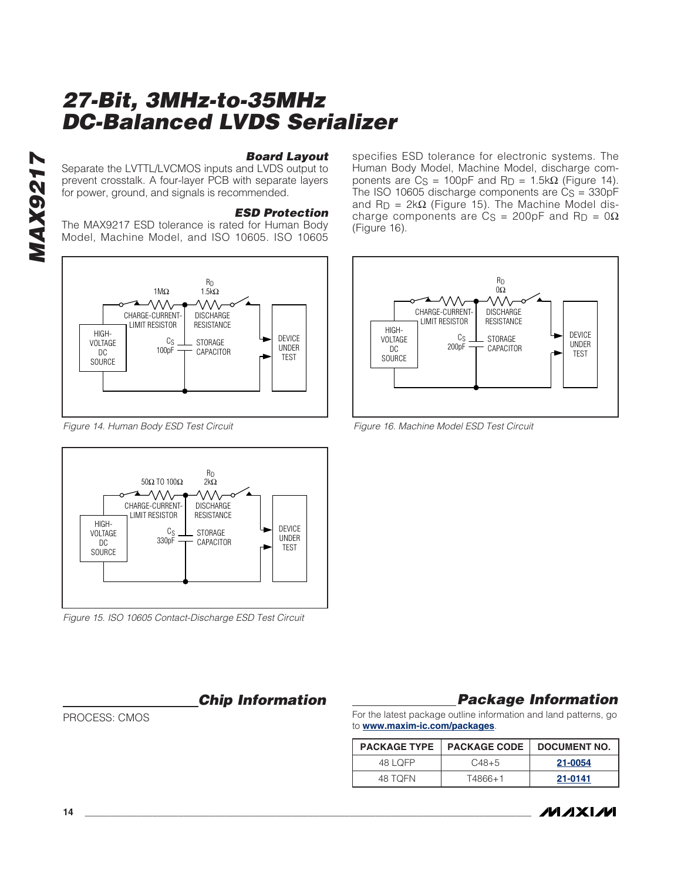**Board Layout**

Separate the LVTTL/LVCMOS inputs and LVDS output to prevent crosstalk. A four-layer PCB with separate layers for power, ground, and signals is recommended.

#### **ESD Protection**

The MAX9217 ESD tolerance is rated for Human Body Model, Machine Model, and ISO 10605. ISO 10605



Figure 14. Human Body ESD Test Circuit



Figure 15. ISO 10605 Contact-Discharge ESD Test Circuit

**Chip Information**

PROCESS: CMOS

specifies ESD tolerance for electronic systems. The Human Body Model, Machine Model, discharge components are  $C_S = 100pF$  and  $R_D = 1.5k\Omega$  (Figure 14). The ISO 10605 discharge components are  $Cs = 330pF$ and  $R_D = 2k\Omega$  (Figure 15). The Machine Model discharge components are  $Cs = 200pF$  and  $R_D = 0\Omega$ (Figure 16).



Figure 16. Machine Model ESD Test Circuit

### **Package Information**

For the latest package outline information and land patterns, go to **www.maxim-ic.com/packages**.

|          | <b>PACKAGE TYPE   PACKAGE CODE</b> | DOCUMENT NO. |
|----------|------------------------------------|--------------|
| 48   OFP | $C48+5$                            | 21-0054      |
| 48 TOFN  | T4866+1                            | 21-0141      |

*IVI A* XI*IV*I